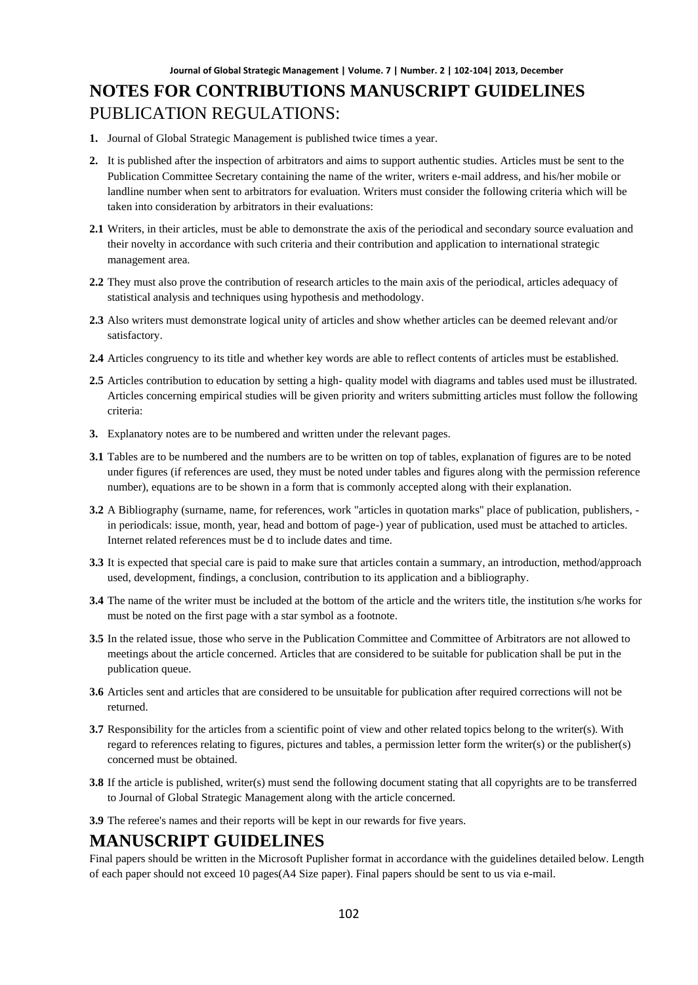- **1.** Journal of Global Strategic Management is published twice times a year.
- **2.** It is published after the inspection of arbitrators and aims to support authentic studies. Articles must be sent to the Publication Committee Secretary containing the name of the writer, writers e-mail address, and his/her mobile or landline number when sent to arbitrators for evaluation. Writers must consider the following criteria which will be taken into consideration by arbitrators in their evaluations:
- **2.1** Writers, in their articles, must be able to demonstrate the axis of the periodical and secondary source evaluation and their novelty in accordance with such criteria and their contribution and application to international strategic management area.
- **2.2** They must also prove the contribution of research articles to the main axis of the periodical, articles adequacy of statistical analysis and techniques using hypothesis and methodology.
- **2.3** Also writers must demonstrate logical unity of articles and show whether articles can be deemed relevant and/or satisfactory.
- **2.4** Articles congruency to its title and whether key words are able to reflect contents of articles must be established.
- **2.5** Articles contribution to education by setting a high- quality model with diagrams and tables used must be illustrated. Articles concerning empirical studies will be given priority and writers submitting articles must follow the following criteria:
- **3.** Explanatory notes are to be numbered and written under the relevant pages.
- **3.1** Tables are to be numbered and the numbers are to be written on top of tables, explanation of figures are to be noted under figures (if references are used, they must be noted under tables and figures along with the permission reference number), equations are to be shown in a form that is commonly accepted along with their explanation.
- **3.2** A Bibliography (surname, name, for references, work "articles in quotation marks" place of publication, publishers, in periodicals: issue, month, year, head and bottom of page-) year of publication, used must be attached to articles. Internet related references must be d to include dates and time.
- **3.3** It is expected that special care is paid to make sure that articles contain a summary, an introduction, method/approach used, development, findings, a conclusion, contribution to its application and a bibliography.
- **3.4** The name of the writer must be included at the bottom of the article and the writers title, the institution s/he works for must be noted on the first page with a star symbol as a footnote.
- **3.5** In the related issue, those who serve in the Publication Committee and Committee of Arbitrators are not allowed to meetings about the article concerned. Articles that are considered to be suitable for publication shall be put in the publication queue.
- **3.6** Articles sent and articles that are considered to be unsuitable for publication after required corrections will not be returned.
- **3.7** Responsibility for the articles from a scientific point of view and other related topics belong to the writer(s). With regard to references relating to figures, pictures and tables, a permission letter form the writer(s) or the publisher(s) concerned must be obtained.
- **3.8** If the article is published, writer(s) must send the following document stating that all copyrights are to be transferred to Journal of Global Strategic Management along with the article concerned.
- **3.9** The referee's names and their reports will be kept in our rewards for five years.

### **MANUSCRIPT GUIDELINES**

Final papers should be written in the Microsoft Puplisher format in accordance with the guidelines detailed below. Length of each paper should not exceed 10 pages(A4 Size paper). Final papers should be sent to us via e-mail.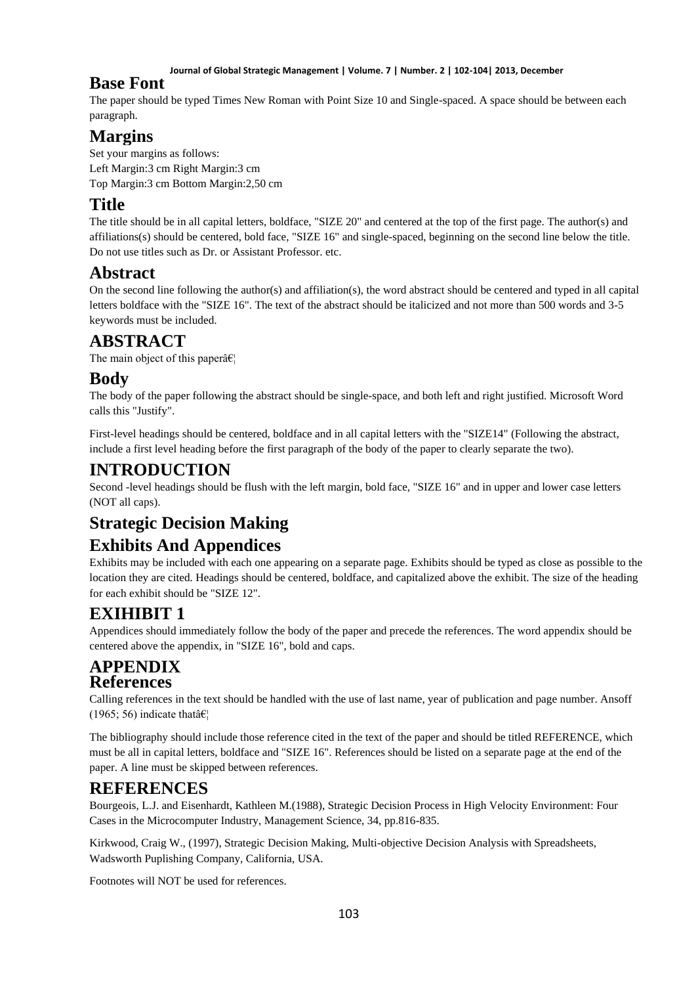#### **Journal of Global Strategic Management | Volume. 7 | Number. 2 | 102-104| 2013, December**

### **Base Font**

The paper should be typed Times New Roman with Point Size 10 and Single-spaced. A space should be between each paragraph.

## **Margins**

Set your margins as follows: Left Margin:3 cm Right Margin:3 cm Top Margin:3 cm Bottom Margin:2,50 cm

## **Title**

The title should be in all capital letters, boldface, "SIZE 20" and centered at the top of the first page. The author(s) and affiliations(s) should be centered, bold face, "SIZE 16" and single-spaced, beginning on the second line below the title. Do not use titles such as Dr. or Assistant Professor. etc.

## **Abstract**

On the second line following the author(s) and affiliation(s), the word abstract should be centered and typed in all capital letters boldface with the "SIZE 16". The text of the abstract should be italicized and not more than 500 words and 3-5 keywords must be included.

## **ABSTRACT**

The main object of this paper $\hat{a} \in \mathcal{C}_1$ 

## **Body**

The body of the paper following the abstract should be single-space, and both left and right justified. Microsoft Word calls this "Justify".

First-level headings should be centered, boldface and in all capital letters with the "SIZE14" (Following the abstract, include a first level heading before the first paragraph of the body of the paper to clearly separate the two).

## **INTRODUCTION**

Second -level headings should be flush with the left margin, bold face, "SIZE 16" and in upper and lower case letters (NOT all caps).

# **Strategic Decision Making**

## **Exhibits And Appendices**

Exhibits may be included with each one appearing on a separate page. Exhibits should be typed as close as possible to the location they are cited. Headings should be centered, boldface, and capitalized above the exhibit. The size of the heading for each exhibit should be "SIZE 12".

# **EXIHIBIT 1**

Appendices should immediately follow the body of the paper and precede the references. The word appendix should be centered above the appendix, in "SIZE 16", bold and caps.

### **APPENDIX References**

Calling references in the text should be handled with the use of last name, year of publication and page number. Ansoff (1965; 56) indicate that  $\hat{\mathbf{a}} \in \mathbb{R}^n$ 

The bibliography should include those reference cited in the text of the paper and should be titled REFERENCE, which must be all in capital letters, boldface and "SIZE 16". References should be listed on a separate page at the end of the paper. A line must be skipped between references.

## **REFERENCES**

Bourgeois, L.J. and Eisenhardt, Kathleen M.(1988), Strategic Decision Process in High Velocity Environment: Four Cases in the Microcomputer Industry, Management Science, 34, pp.816-835.

Kirkwood, Craig W., (1997), Strategic Decision Making, Multi-objective Decision Analysis with Spreadsheets, Wadsworth Puplishing Company, California, USA.

Footnotes will NOT be used for references.